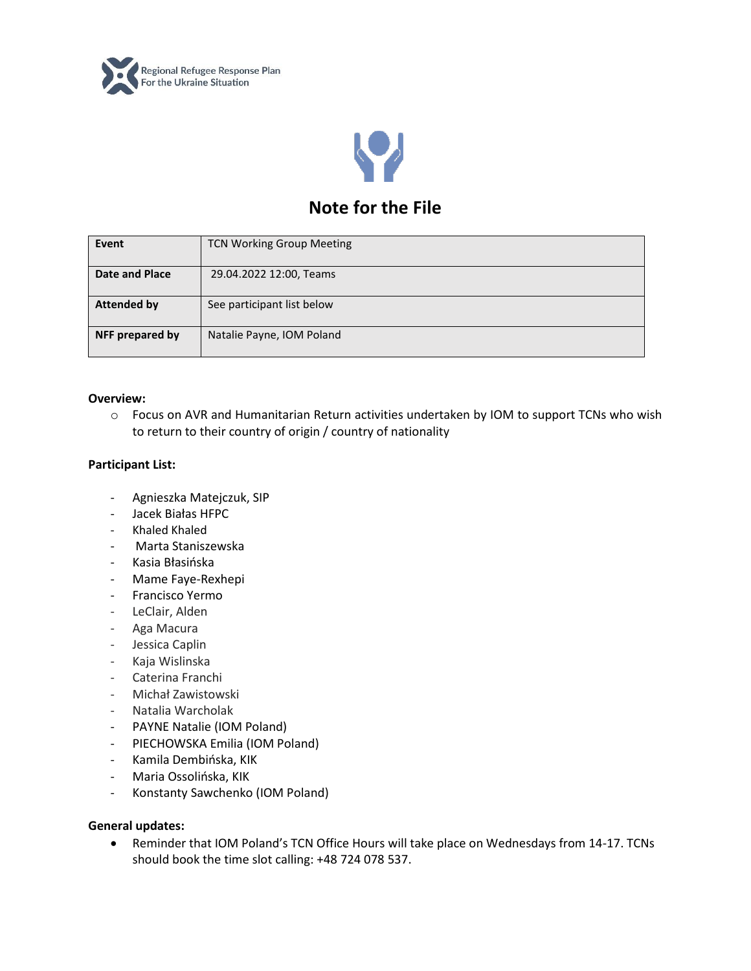



# **Note for the File**

| Event              | <b>TCN Working Group Meeting</b> |
|--------------------|----------------------------------|
| Date and Place     | 29.04.2022 12:00, Teams          |
| <b>Attended by</b> | See participant list below       |
| NFF prepared by    | Natalie Payne, IOM Poland        |

## **Overview:**

o Focus on AVR and Humanitarian Return activities undertaken by IOM to support TCNs who wish to return to their country of origin / country of nationality

# **Participant List:**

- Agnieszka Matejczuk, SIP
- Jacek Białas HFPC
- Khaled Khaled
- Marta Staniszewska
- Kasia Błasińska
- Mame Faye-Rexhepi
- Francisco Yermo
- LeClair, Alden
- Aga Macura
- Jessica Caplin
- Kaja Wislinska
- Caterina Franchi
- Michał Zawistowski
- Natalia Warcholak
- PAYNE Natalie (IOM Poland)
- PIECHOWSKA Emilia (IOM Poland)
- Kamila Dembińska, KIK
- Maria Ossolińska, KIK
- Konstanty Sawchenko (IOM Poland)

#### **General updates:**

• Reminder that IOM Poland's TCN Office Hours will take place on Wednesdays from 14-17. TCNs should book the time slot calling: +48 724 078 537.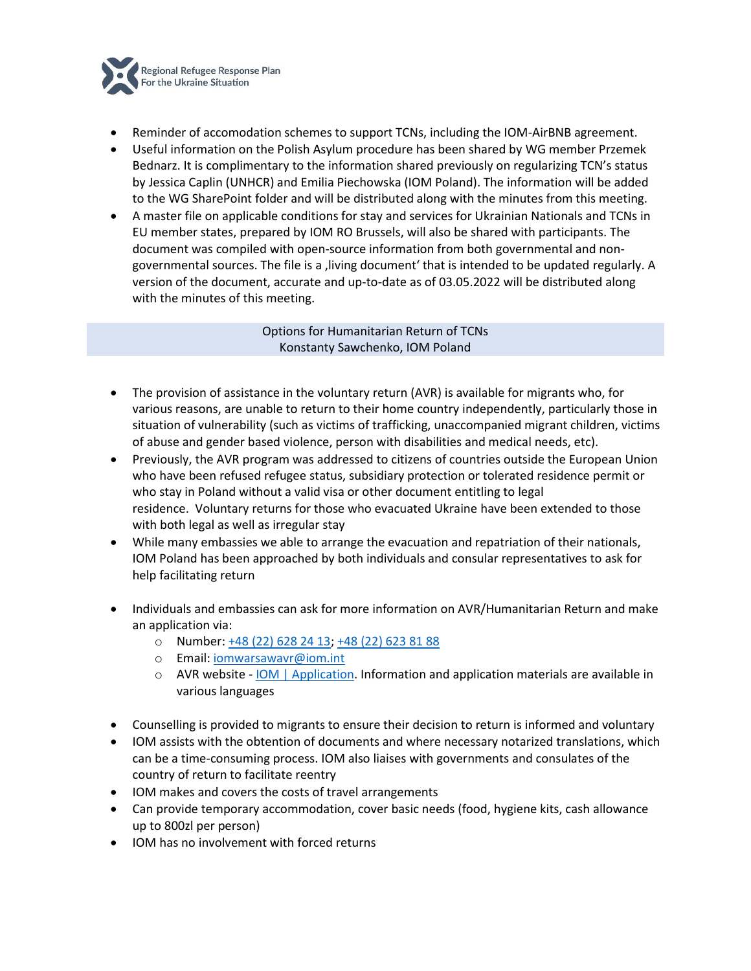

- Reminder of accomodation schemes to support TCNs, including the IOM-AirBNB agreement.
- Useful information on the Polish Asylum procedure has been shared by WG member Przemek Bednarz. It is complimentary to the information shared previously on regularizing TCN's status by Jessica Caplin (UNHCR) and Emilia Piechowska (IOM Poland). The information will be added to the WG SharePoint folder and will be distributed along with the minutes from this meeting.
- A master file on applicable conditions for stay and services for Ukrainian Nationals and TCNs in EU member states, prepared by IOM RO Brussels, will also be shared with participants. The document was compiled with open-source information from both governmental and nongovernmental sources. The file is a , living document' that is intended to be updated regularly. A version of the document, accurate and up-to-date as of 03.05.2022 will be distributed along with the minutes of this meeting.

Options for Humanitarian Return of TCNs Konstanty Sawchenko, IOM Poland

- The provision of assistance in the voluntary return (AVR) is available for migrants who, for various reasons, are unable to return to their home country independently, particularly those in situation of vulnerability (such as victims of trafficking, unaccompanied migrant children, victims of abuse and gender based violence, person with disabilities and medical needs, etc).
- Previously, the AVR program was addressed to citizens of countries outside the European Union who have been refused refugee status, subsidiary protection or tolerated residence permit or who stay in Poland without a valid visa or other document entitling to legal residence. Voluntary returns for those who evacuated Ukraine have been extended to those with both legal as well as irregular stay
- While many embassies we able to arrange the evacuation and repatriation of their nationals, IOM Poland has been approached by both individuals and consular representatives to ask for help facilitating return
- Individuals and embassies can ask for more information on AVR/Humanitarian Return and make an application via:
	- o Number: [+48 \(22\) 628 24 13;](tel:+48226282413) [+48 \(22\) 623 81 88](tel:+48226238188)
	- o Email: [iomwarsawavr@iom.int](mailto:iomwarsawavr@iom.int)
	- o AVR website [IOM | Application.](http://avr.iom.pl/) Information and application materials are available in various languages
- Counselling is provided to migrants to ensure their decision to return is informed and voluntary
- IOM assists with the obtention of documents and where necessary notarized translations, which can be a time-consuming process. IOM also liaises with governments and consulates of the country of return to facilitate reentry
- IOM makes and covers the costs of travel arrangements
- Can provide temporary accommodation, cover basic needs (food, hygiene kits, cash allowance up to 800zl per person)
- IOM has no involvement with forced returns